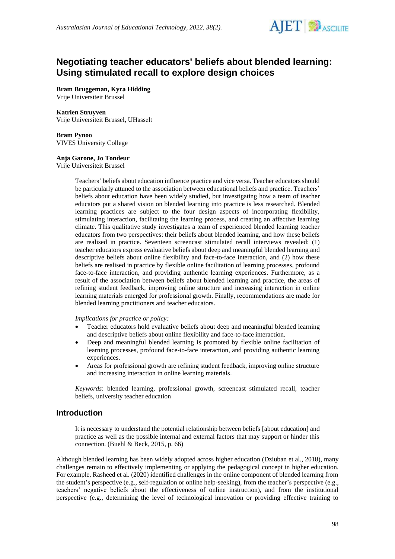

# **Negotiating teacher educators' beliefs about blended learning: Using stimulated recall to explore design choices**

**Bram Bruggeman, Kyra Hidding** Vrije Universiteit Brussel

#### **Katrien Struyven**

Vrije Universiteit Brussel, UHasselt

**Bram Pynoo** VIVES University College

#### **Anja Garone, Jo Tondeur**

Vrije Universiteit Brussel

Teachers' beliefs about education influence practice and vice versa. Teacher educators should be particularly attuned to the association between educational beliefs and practice. Teachers' beliefs about education have been widely studied, but investigating how a team of teacher educators put a shared vision on blended learning into practice is less researched. Blended learning practices are subject to the four design aspects of incorporating flexibility, stimulating interaction, facilitating the learning process, and creating an affective learning climate. This qualitative study investigates a team of experienced blended learning teacher educators from two perspectives: their beliefs about blended learning, and how these beliefs are realised in practice. Seventeen screencast stimulated recall interviews revealed: (1) teacher educators express evaluative beliefs about deep and meaningful blended learning and descriptive beliefs about online flexibility and face-to-face interaction, and (2) how these beliefs are realised in practice by flexible online facilitation of learning processes, profound face-to-face interaction, and providing authentic learning experiences. Furthermore, as a result of the association between beliefs about blended learning and practice, the areas of refining student feedback, improving online structure and increasing interaction in online learning materials emerged for professional growth. Finally, recommendations are made for blended learning practitioners and teacher educators.

*Implications for practice or policy:*

- Teacher educators hold evaluative beliefs about deep and meaningful blended learning and descriptive beliefs about online flexibility and face-to-face interaction.
- Deep and meaningful blended learning is promoted by flexible online facilitation of learning processes, profound face-to-face interaction, and providing authentic learning experiences.
- Areas for professional growth are refining student feedback, improving online structure and increasing interaction in online learning materials.

*Keywords*: blended learning, professional growth, screencast stimulated recall, teacher beliefs, university teacher education

## **Introduction**

It is necessary to understand the potential relationship between beliefs [about education] and practice as well as the possible internal and external factors that may support or hinder this connection. (Buehl & Beck, 2015, p. 66)

Although blended learning has been widely adopted across higher education (Dziuban et al., 2018), many challenges remain to effectively implementing or applying the pedagogical concept in higher education. For example, Rasheed et al. (2020) identified challenges in the online component of blended learning from the student's perspective (e.g., self-regulation or online help-seeking), from the teacher's perspective (e.g., teachers' negative beliefs about the effectiveness of online instruction), and from the institutional perspective (e.g., determining the level of technological innovation or providing effective training to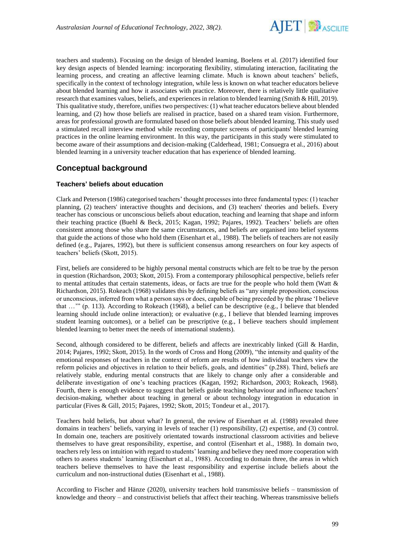

teachers and students). Focusing on the design of blended learning, Boelens et al. (2017) identified four key design aspects of blended learning: incorporating flexibility, stimulating interaction, facilitating the learning process, and creating an affective learning climate. Much is known about teachers' beliefs, specifically in the context of technology integration, while less is known on what teacher educators believe about blended learning and how it associates with practice. Moreover, there is relatively little qualitative research that examines values, beliefs, and experiences in relation to blended learning (Smith & Hill, 2019). This qualitative study, therefore, unifies two perspectives: (1) what teacher educators believe about blended learning, and (2) how those beliefs are realised in practice, based on a shared team vision. Furthermore, areas for professional growth are formulated based on those beliefs about blended learning. This study used a stimulated recall interview method while recording computer screens of participants' blended learning practices in the online learning environment. In this way, the participants in this study were stimulated to become aware of their assumptions and decision-making (Calderhead, 1981; Consuegra et al., 2016) about blended learning in a university teacher education that has experience of blended learning.

# **Conceptual background**

## **Teachers' beliefs about education**

Clark and Peterson (1986) categorised teachers' thought processes into three fundamental types: (1) teacher planning, (2) teachers' interactive thoughts and decisions, and (3) teachers' theories and beliefs. Every teacher has conscious or unconscious beliefs about education, teaching and learning that shape and inform their teaching practice (Buehl & Beck, 2015; Kagan, 1992; Pajares, 1992). Teachers' beliefs are often consistent among those who share the same circumstances, and beliefs are organised into belief systems that guide the actions of those who hold them (Eisenhart et al., 1988). The beliefs of teachers are not easily defined (e.g., Pajares, 1992), but there is sufficient consensus among researchers on four key aspects of teachers' beliefs (Skott, 2015).

First, beliefs are considered to be highly personal mental constructs which are felt to be true by the person in question (Richardson, 2003; Skott, 2015). From a contemporary philosophical perspective, beliefs refer to mental attitudes that certain statements, ideas, or facts are true for the people who hold them (Watt  $\&$ Richardson, 2015). Rokeach (1968) validates this by defining beliefs as "any simple proposition, conscious or unconscious, inferred from what a person says or does, capable of being preceded by the phrase 'I believe that …'" (p. 113). According to Rokeach (1968), a belief can be descriptive (e.g., I believe that blended learning should include online interaction); or evaluative (e.g., I believe that blended learning improves student learning outcomes), or a belief can be prescriptive (e.g., I believe teachers should implement blended learning to better meet the needs of international students).

Second, although considered to be different, beliefs and affects are inextricably linked (Gill & Hardin, 2014; Pajares, 1992; Skott, 2015). In the words of Cross and Hong (2009), "the intensity and quality of the emotional responses of teachers in the context of reform are results of how individual teachers view the reform policies and objectives in relation to their beliefs, goals, and identities" (p.288). Third, beliefs are relatively stable, enduring mental constructs that are likely to change only after a considerable and deliberate investigation of one's teaching practices (Kagan, 1992; Richardson, 2003; Rokeach, 1968). Fourth, there is enough evidence to suggest that beliefs guide teaching behaviour and influence teachers' decision-making, whether about teaching in general or about technology integration in education in particular (Fives & Gill, 2015; Pajares, 1992; Skott, 2015; Tondeur et al., 2017).

Teachers hold beliefs, but about what? In general, the review of Eisenhart et al. (1988) revealed three domains in teachers' beliefs, varying in levels of teacher (1) responsibility, (2) expertise, and (3) control. In domain one, teachers are positively orientated towards instructional classroom activities and believe themselves to have great responsibility, expertise, and control (Eisenhart et al., 1988). In domain two, teachers rely less on intuition with regard to students' learning and believe they need more cooperation with others to assess students' learning (Eisenhart et al., 1988). According to domain three, the areas in which teachers believe themselves to have the least responsibility and expertise include beliefs about the curriculum and non-instructional duties (Eisenhart et al., 1988).

According to Fischer and Hänze (2020), university teachers hold transmissive beliefs – transmission of knowledge and theory – and constructivist beliefs that affect their teaching. Whereas transmissive beliefs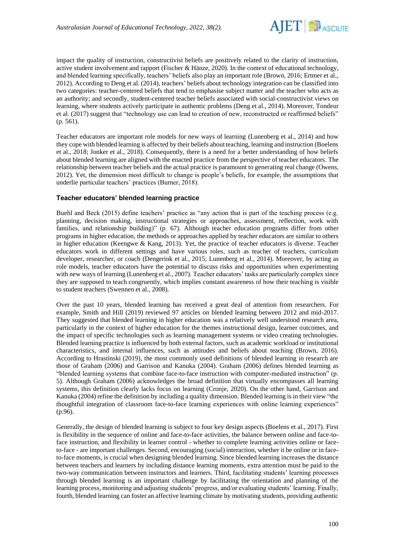

impact the quality of instruction, constructivist beliefs are positively related to the clarity of instruction, active student involvement and rapport (Fischer & Hänze, 2020). In the context of educational technology, and blended learning specifically, teachers' beliefs also play an important role (Brown, 2016; Ertmer et al., 2012). According to Deng et al. (2014), teachers' beliefs about technology integration can be classified into two categories: teacher-centered beliefs that tend to emphasise subject matter and the teacher who acts as an authority; and secondly, student-centered teacher beliefs associated with social-constructivist views on learning, where students actively participate in authentic problems (Deng et al., 2014). Moreover, Tondeur et al. (2017) suggest that "technology use can lead to creation of new, reconstructed or reaffirmed beliefs" (p. 561).

Teacher educators are important role models for new ways of learning (Lunenberg et al., 2014) and how they cope with blended learning is affected by their beliefs about teaching, learning and instruction (Boelens et al., 2018; Jonker et al., 2018). Consequently, there is a need for a better understanding of how beliefs about blended learning are aligned with the enacted practice from the perspective of teacher educators. The relationship between teacher beliefs and the actual practice is paramount to generating real change (Owens, 2012). Yet, the dimension most difficult to change is people's beliefs, for example, the assumptions that underlie particular teachers' practices (Burner, 2018).

### **Teacher educators' blended learning practice**

Buehl and Beck (2015) define teachers' practice as "any action that is part of the teaching process (e.g. planning, decision making, instructional strategies or approaches, assessment, reflection, work with families, and relationship building)" (p. 67). Although teacher education programs differ from other programs in higher education, the methods or approaches applied by teacher educators are similar to others in higher education (Keengwe & Kang, 2013). Yet, the practice of teacher educators is diverse. Teacher educators work in different settings and have various roles, such as teacher of teachers, curriculum developer, researcher, or coach (Dengerink et al., 2015; Lunenberg et al., 2014). Moreover, by acting as role models, teacher educators have the potential to discuss risks and opportunities when experimenting with new ways of learning (Lunenberg et al., 2007). Teacher educators' tasks are particularly complex since they are supposed to teach congruently, which implies constant awareness of how their teaching is visible to student teachers (Swennen et al., 2008).

Over the past 10 years, blended learning has received a great deal of attention from researchers. For example, Smith and Hill (2019) reviewed 97 articles on blended learning between 2012 and mid-2017. They suggested that blended learning in higher education was a relatively well understood research area, particularly in the context of higher education for the themes instructional design, learner outcomes, and the impact of specific technologies such as learning management systems or video creating technologies. Blended learning practice is influenced by both external factors, such as academic workload or institutional characteristics, and internal influences, such as attitudes and beliefs about teaching (Brown, 2016). According to Hrastinski (2019), the most commonly used definitions of blended learning in research are those of Graham (2006) and Garrison and Kanuka (2004). Graham (2006) defines blended learning as "blended learning systems that combine face-to-face instruction with computer-mediated instruction" (p. 5). Although Graham (2006) acknowledges the broad definition that virtually encompasses all learning systems, this definition clearly lacks focus on learning (Cronje, 2020). On the other hand, Garrison and Kanuka (2004) refine the definition by including a quality dimension. Blended learning is in their view "the thoughtful integration of classroom face-to-face learning experiences with online learning experiences" (p.96).

Generally, the design of blended learning is subject to four key design aspects (Boelens et al., 2017). First is flexibility in the sequence of online and face-to-face activities, the balance between online and face-toface instruction, and flexibility in learner control - whether to complete learning activities online or faceto-face - are important challenges. Second, encouraging (social) interaction, whether it be online or in faceto-face moments, is crucial when designing blended learning. Since blended learning increases the distance between teachers and learners by including distance learning moments, extra attention must be paid to the two-way communication between instructors and learners. Third, facilitating students' learning processes through blended learning is an important challenge by facilitating the orientation and planning of the learning process, monitoring and adjusting students' progress, and/or evaluating students' learning. Finally, fourth, blended learning can foster an affective learning climate by motivating students, providing authentic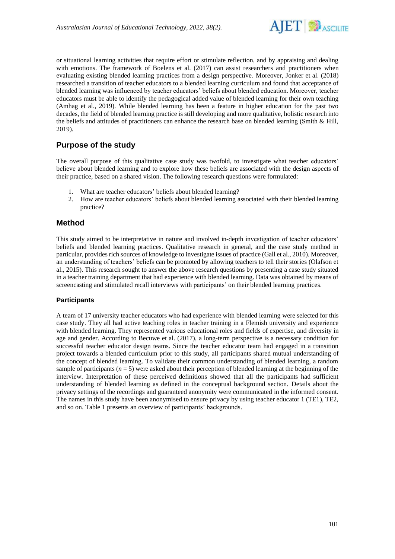

or situational learning activities that require effort or stimulate reflection, and by appraising and dealing with emotions. The framework of Boelens et al. (2017) can assist researchers and practitioners when evaluating existing blended learning practices from a design perspective. Moreover, Jonker et al. (2018) researched a transition of teacher educators to a blended learning curriculum and found that acceptance of blended learning was influenced by teacher educators' beliefs about blended education. Moreover, teacher educators must be able to identify the pedagogical added value of blended learning for their own teaching (Amhag et al., 2019). While blended learning has been a feature in higher education for the past two decades, the field of blended learning practice is still developing and more qualitative, holistic research into the beliefs and attitudes of practitioners can enhance the research base on blended learning (Smith & Hill, 2019).

# **Purpose of the study**

The overall purpose of this qualitative case study was twofold, to investigate what teacher educators' believe about blended learning and to explore how these beliefs are associated with the design aspects of their practice, based on a shared vision. The following research questions were formulated:

- 1. What are teacher educators' beliefs about blended learning?
- 2. How are teacher educators' beliefs about blended learning associated with their blended learning practice?

# **Method**

This study aimed to be interpretative in nature and involved in-depth investigation of teacher educators' beliefs and blended learning practices. Qualitative research in general, and the case study method in particular, provides rich sources of knowledge to investigate issues of practice (Gall et al., 2010). Moreover, an understanding of teachers' beliefs can be promoted by allowing teachers to tell their stories (Olafson et al., 2015). This research sought to answer the above research questions by presenting a case study situated in a teacher training department that had experience with blended learning. Data was obtained by means of screencasting and stimulated recall interviews with participants' on their blended learning practices.

## **Participants**

A team of 17 university teacher educators who had experience with blended learning were selected for this case study. They all had active teaching roles in teacher training in a Flemish university and experience with blended learning. They represented various educational roles and fields of expertise, and diversity in age and gender. According to Becuwe et al. (2017), a long-term perspective is a necessary condition for successful teacher educator design teams. Since the teacher educator team had engaged in a transition project towards a blended curriculum prior to this study, all participants shared mutual understanding of the concept of blended learning. To validate their common understanding of blended learning, a random sample of participants  $(n = 5)$  were asked about their perception of blended learning at the beginning of the interview. Interpretation of these perceived definitions showed that all the participants had sufficient understanding of blended learning as defined in the conceptual background section. Details about the privacy settings of the recordings and guaranteed anonymity were communicated in the informed consent. The names in this study have been anonymised to ensure privacy by using teacher educator 1 (TE1), TE2, and so on. Table 1 presents an overview of participants' backgrounds.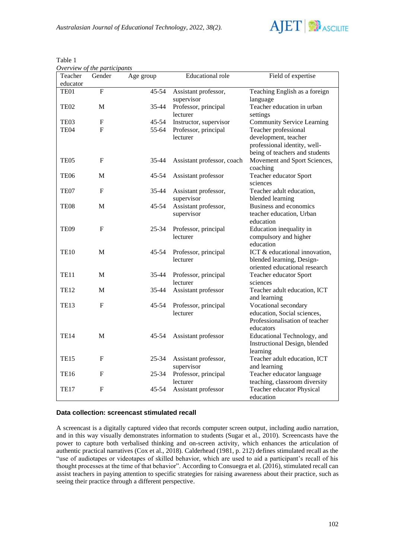

| Overview of the participants |                           |           |                            |                                   |  |  |  |  |  |  |
|------------------------------|---------------------------|-----------|----------------------------|-----------------------------------|--|--|--|--|--|--|
| Teacher                      | Gender                    | Age group | <b>Educational</b> role    | Field of expertise                |  |  |  |  |  |  |
| educator                     |                           |           |                            |                                   |  |  |  |  |  |  |
| TE01                         | $\overline{F}$            | 45-54     | Assistant professor,       | Teaching English as a foreign     |  |  |  |  |  |  |
|                              |                           |           | supervisor                 | language                          |  |  |  |  |  |  |
| TE <sub>02</sub>             | M                         | 35-44     | Professor, principal       | Teacher education in urban        |  |  |  |  |  |  |
|                              |                           |           | lecturer                   | settings                          |  |  |  |  |  |  |
| TE03                         | $\boldsymbol{\mathrm{F}}$ | $45 - 54$ | Instructor, supervisor     | <b>Community Service Learning</b> |  |  |  |  |  |  |
| TE04                         | F                         | 55-64     | Professor, principal       | Teacher professional              |  |  |  |  |  |  |
|                              |                           |           | lecturer                   | development, teacher              |  |  |  |  |  |  |
|                              |                           |           |                            | professional identity, well-      |  |  |  |  |  |  |
|                              |                           |           |                            | being of teachers and students    |  |  |  |  |  |  |
| TE05                         | $\boldsymbol{F}$          | 35-44     | Assistant professor, coach | Movement and Sport Sciences,      |  |  |  |  |  |  |
|                              |                           |           |                            | coaching                          |  |  |  |  |  |  |
| TE06                         | M                         | 45-54     | Assistant professor        | Teacher educator Sport            |  |  |  |  |  |  |
|                              |                           |           |                            | sciences                          |  |  |  |  |  |  |
| TE07                         | F                         | 35-44     | Assistant professor,       | Teacher adult education,          |  |  |  |  |  |  |
|                              |                           |           | supervisor                 | blended learning                  |  |  |  |  |  |  |
| TE08                         | M                         | 45-54     | Assistant professor,       | Business and economics            |  |  |  |  |  |  |
|                              |                           |           | supervisor                 | teacher education, Urban          |  |  |  |  |  |  |
|                              |                           |           |                            | education                         |  |  |  |  |  |  |
| TE <sub>09</sub>             | F                         | 25-34     | Professor, principal       | Education inequality in           |  |  |  |  |  |  |
|                              |                           |           | lecturer                   | compulsory and higher             |  |  |  |  |  |  |
|                              |                           |           |                            | education                         |  |  |  |  |  |  |
| <b>TE10</b>                  | M                         | 45-54     | Professor, principal       | ICT & educational innovation,     |  |  |  |  |  |  |
|                              |                           |           | lecturer                   | blended learning, Design-         |  |  |  |  |  |  |
|                              |                           |           |                            | oriented educational research     |  |  |  |  |  |  |
| TE11                         | M                         | 35-44     | Professor, principal       | Teacher educator Sport            |  |  |  |  |  |  |
|                              |                           |           | lecturer                   | sciences                          |  |  |  |  |  |  |
| <b>TE12</b>                  | M                         | 35-44     | Assistant professor        | Teacher adult education, ICT      |  |  |  |  |  |  |
|                              |                           |           |                            | and learning                      |  |  |  |  |  |  |
| <b>TE13</b>                  | F                         | 45-54     | Professor, principal       | Vocational secondary              |  |  |  |  |  |  |
|                              |                           |           | lecturer                   | education, Social sciences,       |  |  |  |  |  |  |
|                              |                           |           |                            | Professionalisation of teacher    |  |  |  |  |  |  |
|                              |                           |           |                            | educators                         |  |  |  |  |  |  |
| <b>TE14</b>                  | М                         | 45-54     | Assistant professor        | Educational Technology, and       |  |  |  |  |  |  |
|                              |                           |           |                            | Instructional Design, blended     |  |  |  |  |  |  |
|                              |                           |           |                            | learning                          |  |  |  |  |  |  |
| <b>TE15</b>                  | F                         | $25 - 34$ | Assistant professor,       | Teacher adult education, ICT      |  |  |  |  |  |  |
|                              |                           |           | supervisor                 | and learning                      |  |  |  |  |  |  |
| TE16                         | F                         | $25 - 34$ | Professor, principal       | Teacher educator language         |  |  |  |  |  |  |
|                              |                           |           | lecturer                   | teaching, classroom diversity     |  |  |  |  |  |  |
| <b>TE17</b>                  | F                         | 45-54     | Assistant professor        | Teacher educator Physical         |  |  |  |  |  |  |
|                              |                           |           |                            | education                         |  |  |  |  |  |  |

### **Data collection: screencast stimulated recall**

A screencast is a digitally captured video that records computer screen output, including audio narration, and in this way visually demonstrates information to students (Sugar et al., 2010). Screencasts have the power to capture both verbalised thinking and on-screen activity, which enhances the articulation of authentic practical narratives (Cox et al., 2018). Calderhead (1981, p. 212) defines stimulated recall as the "use of audiotapes or videotapes of skilled behavior, which are used to aid a participant's recall of his thought processes at the time of that behavior". According to Consuegra et al. (2016), stimulated recall can assist teachers in paying attention to specific strategies for raising awareness about their practice, such as seeing their practice through a different perspective.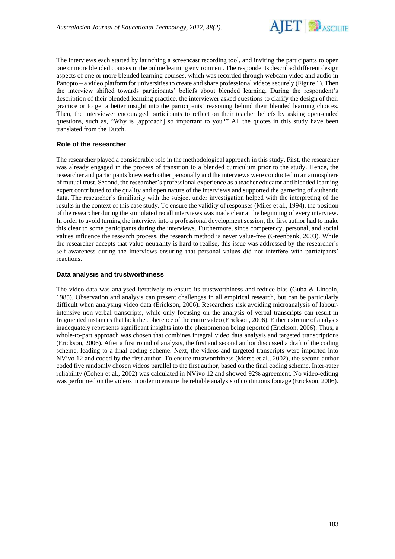

The interviews each started by launching a screencast recording tool, and inviting the participants to open one or more blended courses in the online learning environment. The respondents described different design aspects of one or more blended learning courses, which was recorded through webcam video and audio in Panopto – a video platform for universities to create and share professional videos securely (Figure 1). Then the interview shifted towards participants' beliefs about blended learning. During the respondent's description of their blended learning practice, the interviewer asked questions to clarify the design of their practice or to get a better insight into the participants' reasoning behind their blended learning choices. Then, the interviewer encouraged participants to reflect on their teacher beliefs by asking open-ended questions, such as, "Why is [approach] so important to you?" All the quotes in this study have been translated from the Dutch.

## **Role of the researcher**

The researcher played a considerable role in the methodological approach in this study. First, the researcher was already engaged in the process of transition to a blended curriculum prior to the study. Hence, the researcher and participants knew each other personally and the interviews were conducted in an atmosphere of mutual trust. Second, the researcher's professional experience as a teacher educator and blended learning expert contributed to the quality and open nature of the interviews and supported the garnering of authentic data. The researcher's familiarity with the subject under investigation helped with the interpreting of the results in the context of this case study. To ensure the validity of responses (Miles et al., 1994), the position of the researcher during the stimulated recall interviews was made clear at the beginning of every interview. In order to avoid turning the interview into a professional development session, the first author had to make this clear to some participants during the interviews. Furthermore, since competency, personal, and social values influence the research process, the research method is never value-free (Greenbank, 2003). While the researcher accepts that value-neutrality is hard to realise, this issue was addressed by the researcher's self-awareness during the interviews ensuring that personal values did not interfere with participants' reactions.

#### **Data analysis and trustworthiness**

The video data was analysed iteratively to ensure its trustworthiness and reduce bias (Guba & Lincoln, 1985). Observation and analysis can present challenges in all empirical research, but can be particularly difficult when analysing video data (Erickson, 2006). Researchers risk avoiding microanalysis of labourintensive non-verbal transcripts, while only focusing on the analysis of verbal transcripts can result in fragmented instances that lack the coherence of the entire video (Erickson, 2006). Either extreme of analysis inadequately represents significant insights into the phenomenon being reported (Erickson, 2006). Thus, a whole-to-part approach was chosen that combines integral video data analysis and targeted transcriptions (Erickson, 2006). After a first round of analysis, the first and second author discussed a draft of the coding scheme, leading to a final coding scheme. Next, the videos and targeted transcripts were imported into NVivo 12 and coded by the first author. To ensure trustworthiness (Morse et al., 2002), the second author coded five randomly chosen videos parallel to the first author, based on the final coding scheme. Inter-rater reliability (Cohen et al., 2002) was calculated in NVivo 12 and showed 92% agreement. No video-editing was performed on the videos in order to ensure the reliable analysis of continuous footage (Erickson, 2006).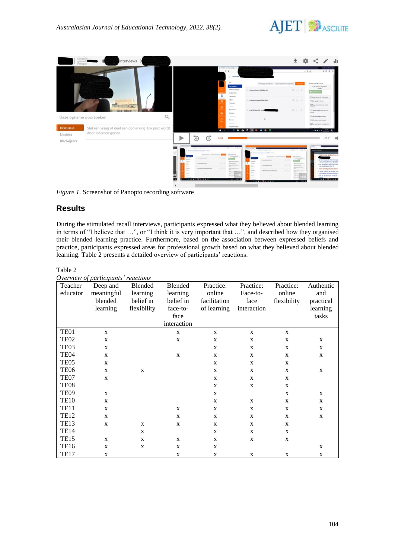



*Figure 1.* Screenshot of Panopto recording software

# **Results**

During the stimulated recall interviews, participants expressed what they believed about blended learning in terms of "I believe that …", or "I think it is very important that …", and described how they organised their blended learning practice. Furthermore, based on the association between expressed beliefs and practice, participants expressed areas for professional growth based on what they believed about blended learning. Table 2 presents a detailed overview of participants' reactions.

### Table 2

| Overview of participants' reactions |  |
|-------------------------------------|--|
|                                     |  |

| Teacher          | $\sigma$ reference of participations reactions<br>Deep and | Blended      | Blended      | Practice:    | Practice:   | Practice:    | Authentic |
|------------------|------------------------------------------------------------|--------------|--------------|--------------|-------------|--------------|-----------|
| educator         | meaningful                                                 | learning     | learning     | online       | Face-to-    | online       | and       |
|                  | blended                                                    | belief in    | belief in    | facilitation | face        | flexibility  | practical |
|                  | learning                                                   | flexibility  | face-to-     | of learning  | interaction |              | learning  |
|                  |                                                            |              | face         |              |             |              | tasks     |
|                  |                                                            |              | interaction  |              |             |              |           |
| TE <sub>01</sub> | X                                                          |              | $\mathbf{X}$ | X            | X           | X            |           |
| TE <sub>02</sub> | X                                                          |              | $\mathbf{X}$ | X            | X           | X            | X         |
| TE <sub>03</sub> | X                                                          |              |              | X            | X           | X            | X         |
| TE <sub>04</sub> | X                                                          |              | $\mathbf{X}$ | $\mathbf X$  | X           | X            | X         |
| TE <sub>05</sub> | $\mathbf{x}$                                               |              |              | X            | X           | X            |           |
| TE <sub>06</sub> | X                                                          | $\mathbf{X}$ |              | X            | X           | X            | X         |
| TE07             | $\mathbf{X}$                                               |              |              | X            | X           | X            |           |
| TE <sub>08</sub> |                                                            |              |              | X            | X           | X            |           |
| TE <sub>09</sub> | X                                                          |              |              | X            |             | X            | X         |
| <b>TE10</b>      | $\mathbf{x}$                                               |              |              | X            | X           | X            | X         |
| <b>TE11</b>      | X                                                          |              | $\mathbf{X}$ | X            | X           | X            | X         |
| <b>TE12</b>      | $\mathbf{x}$                                               |              | $\mathbf{X}$ | X            | X           | $\mathbf{X}$ | X         |
| <b>TE13</b>      | X                                                          | $\mathbf{X}$ | $\mathbf{X}$ | X            | X           | X            |           |
| <b>TE14</b>      |                                                            | $\mathbf{X}$ |              | X            | X           | X            |           |
| <b>TE15</b>      | X                                                          | X            | $\mathbf{X}$ | X            | X           | X            |           |
| <b>TE16</b>      | X                                                          | X            | $\mathbf{X}$ | X            |             |              | X         |
| <b>TE17</b>      | X                                                          |              | X            | X            | X           | X            | X         |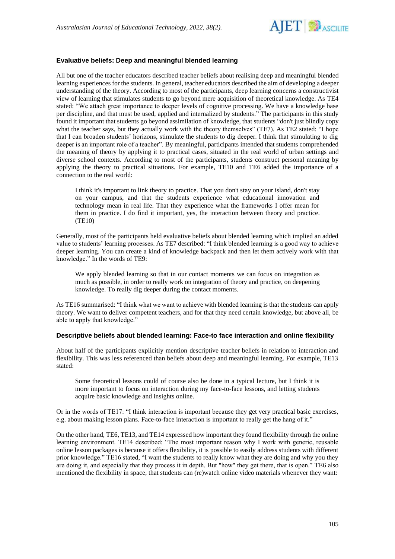

## **Evaluative beliefs: Deep and meaningful blended learning**

All but one of the teacher educators described teacher beliefs about realising deep and meaningful blended learning experiences for the students. In general, teacher educators described the aim of developing a deeper understanding of the theory. According to most of the participants, deep learning concerns a constructivist view of learning that stimulates students to go beyond mere acquisition of theoretical knowledge. As TE4 stated: "We attach great importance to deeper levels of cognitive processing. We have a knowledge base per discipline, and that must be used, applied and internalized by students." The participants in this study found it important that students go beyond assimilation of knowledge, that students "don't just blindly copy what the teacher says, but they actually work with the theory themselves" (TE7). As TE2 stated: "I hope that I can broaden students' horizons, stimulate the students to dig deeper. I think that stimulating to dig deeper is an important role of a teacher". By meaningful, participants intended that students comprehended the meaning of theory by applying it to practical cases, situated in the real world of urban settings and diverse school contexts. According to most of the participants, students construct personal meaning by applying the theory to practical situations. For example, TE10 and TE6 added the importance of a connection to the real world:

I think it's important to link theory to practice. That you don't stay on your island, don't stay on your campus, and that the students experience what educational innovation and technology mean in real life. That they experience what the frameworks I offer mean for them in practice. I do find it important, yes, the interaction between theory and practice. (TE10)

Generally, most of the participants held evaluative beliefs about blended learning which implied an added value to students' learning processes. As TE7 described: "I think blended learning is a good way to achieve deeper learning. You can create a kind of knowledge backpack and then let them actively work with that knowledge." In the words of TE9:

We apply blended learning so that in our contact moments we can focus on integration as much as possible, in order to really work on integration of theory and practice, on deepening knowledge. To really dig deeper during the contact moments.

As TE16 summarised: "I think what we want to achieve with blended learning is that the students can apply theory. We want to deliver competent teachers, and for that they need certain knowledge, but above all, be able to apply that knowledge."

#### **Descriptive beliefs about blended learning: Face-to face interaction and online flexibility**

About half of the participants explicitly mention descriptive teacher beliefs in relation to interaction and flexibility. This was less referenced than beliefs about deep and meaningful learning. For example, TE13 stated:

Some theoretical lessons could of course also be done in a typical lecture, but I think it is more important to focus on interaction during my face-to-face lessons, and letting students acquire basic knowledge and insights online.

Or in the words of TE17: "I think interaction is important because they get very practical basic exercises, e.g. about making lesson plans. Face-to-face interaction is important to really get the hang of it."

On the other hand, TE6, TE13, and TE14 expressed how important they found flexibility through the online learning environment. TE14 described: "The most important reason why I work with generic, reusable online lesson packages is because it offers flexibility, it is possible to easily address students with different prior knowledge." TE16 stated, "I want the students to really know what they are doing and why you they are doing it, and especially that they process it in depth. But "how" they get there, that is open." TE6 also mentioned the flexibility in space, that students can (re)watch online video materials whenever they want: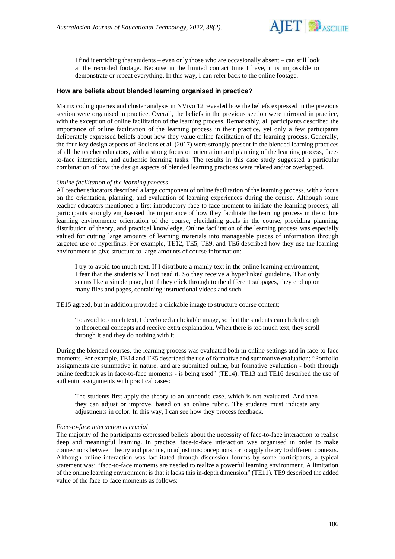

I find it enriching that students – even only those who are occasionally absent – can still look at the recorded footage. Because in the limited contact time I have, it is impossible to demonstrate or repeat everything. In this way, I can refer back to the online footage.

### **How are beliefs about blended learning organised in practice?**

Matrix coding queries and cluster analysis in NVivo 12 revealed how the beliefs expressed in the previous section were organised in practice. Overall, the beliefs in the previous section were mirrored in practice, with the exception of online facilitation of the learning process. Remarkably, all participants described the importance of online facilitation of the learning process in their practice, yet only a few participants deliberately expressed beliefs about how they value online facilitation of the learning process. Generally, the four key design aspects of Boelens et al. (2017) were strongly present in the blended learning practices of all the teacher educators, with a strong focus on orientation and planning of the learning process, faceto-face interaction, and authentic learning tasks. The results in this case study suggested a particular combination of how the design aspects of blended learning practices were related and/or overlapped.

#### *Online facilitation of the learning process*

All teacher educators described a large component of online facilitation of the learning process, with a focus on the orientation, planning, and evaluation of learning experiences during the course. Although some teacher educators mentioned a first introductory face-to-face moment to initiate the learning process, all participants strongly emphasised the importance of how they facilitate the learning process in the online learning environment: orientation of the course, elucidating goals in the course, providing planning, distribution of theory, and practical knowledge. Online facilitation of the learning process was especially valued for cutting large amounts of learning materials into manageable pieces of information through targeted use of hyperlinks. For example, TE12, TE5, TE9, and TE6 described how they use the learning environment to give structure to large amounts of course information:

I try to avoid too much text. If I distribute a mainly text in the online learning environment, I fear that the students will not read it. So they receive a hyperlinked guideline. That only seems like a simple page, but if they click through to the different subpages, they end up on many files and pages, containing instructional videos and such.

TE15 agreed, but in addition provided a clickable image to structure course content:

To avoid too much text, I developed a clickable image, so that the students can click through to theoretical concepts and receive extra explanation. When there is too much text, they scroll through it and they do nothing with it.

During the blended courses, the learning process was evaluated both in online settings and in face-to-face moments. For example, TE14 and TE5 described the use of formative and summative evaluation: "Portfolio assignments are summative in nature, and are submitted online, but formative evaluation - both through online feedback as in face-to-face moments - is being used" (TE14). TE13 and TE16 described the use of authentic assignments with practical cases:

The students first apply the theory to an authentic case, which is not evaluated. And then, they can adjust or improve, based on an online rubric. The students must indicate any adjustments in color. In this way, I can see how they process feedback.

#### *Face-to-face interaction is crucial*

The majority of the participants expressed beliefs about the necessity of face-to-face interaction to realise deep and meaningful learning. In practice, face-to-face interaction was organised in order to make connections between theory and practice, to adjust misconceptions, or to apply theory to different contexts. Although online interaction was facilitated through discussion forums by some participants, a typical statement was: "face-to-face moments are needed to realize a powerful learning environment. A limitation of the online learning environment is that it lacks this in-depth dimension" (TE11). TE9 described the added value of the face-to-face moments as follows: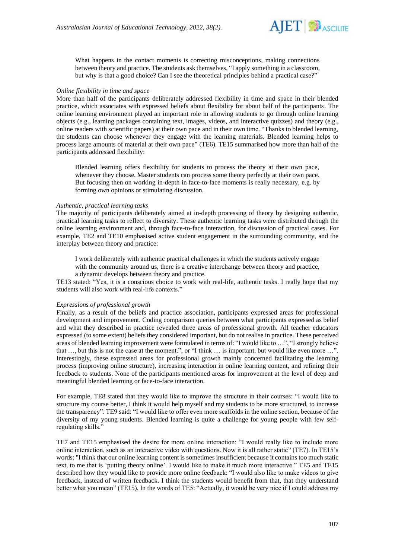

What happens in the contact moments is correcting misconceptions, making connections between theory and practice. The students ask themselves, "I apply something in a classroom, but why is that a good choice? Can I see the theoretical principles behind a practical case?"

#### *Online flexibility in time and space*

More than half of the participants deliberately addressed flexibility in time and space in their blended practice, which associates with expressed beliefs about flexibility for about half of the participants. The online learning environment played an important role in allowing students to go through online learning objects (e.g., learning packages containing text, images, videos, and interactive quizzes) and theory (e.g., online readers with scientific papers) at their own pace and in their own time. "Thanks to blended learning, the students can choose whenever they engage with the learning materials. Blended learning helps to process large amounts of material at their own pace" (TE6). TE15 summarised how more than half of the participants addressed flexibility:

Blended learning offers flexibility for students to process the theory at their own pace, whenever they choose. Master students can process some theory perfectly at their own pace. But focusing then on working in-depth in face-to-face moments is really necessary, e.g. by forming own opinions or stimulating discussion.

#### *Authentic, practical learning tasks*

The majority of participants deliberately aimed at in-depth processing of theory by designing authentic, practical learning tasks to reflect to diversity. These authentic learning tasks were distributed through the online learning environment and, through face-to-face interaction, for discussion of practical cases. For example, TE2 and TE10 emphasised active student engagement in the surrounding community, and the interplay between theory and practice:

I work deliberately with authentic practical challenges in which the students actively engage with the community around us, there is a creative interchange between theory and practice,

a dynamic develops between theory and practice.

TE13 stated: "Yes, it is a conscious choice to work with real-life, authentic tasks. I really hope that my students will also work with real-life contexts."

#### *Expressions of professional growth*

Finally, as a result of the beliefs and practice association, participants expressed areas for professional development and improvement. Coding comparison queries between what participants expressed as belief and what they described in practice revealed three areas of professional growth. All teacher educators expressed (to some extent) beliefs they considered important, but do not realise in practice. These perceived areas of blended learning improvement were formulated in terms of: "I would like to …", "I strongly believe that …, but this is not the case at the moment.", or "I think … is important, but would like even more …". Interestingly, these expressed areas for professional growth mainly concerned facilitating the learning process (improving online structure), increasing interaction in online learning content, and refining their feedback to students. None of the participants mentioned areas for improvement at the level of deep and meaningful blended learning or face-to-face interaction.

For example, TE8 stated that they would like to improve the structure in their courses: "I would like to structure my course better, I think it would help myself and my students to be more structured, to increase the transparency". TE9 said: "I would like to offer even more scaffolds in the online section, because of the diversity of my young students. Blended learning is quite a challenge for young people with few selfregulating skills."

TE7 and TE15 emphasised the desire for more online interaction: "I would really like to include more online interaction, such as an interactive video with questions. Now it is all rather static" (TE7). In TE15's words: "I think that our online learning content is sometimes insufficient because it contains too much static text, to me that is 'putting theory online'. I would like to make it much more interactive." TE5 and TE15 described how they would like to provide more online feedback: "I would also like to make videos to give feedback, instead of written feedback. I think the students would benefit from that, that they understand better what you mean" (TE15). In the words of TE5: "Actually, it would be very nice if I could address my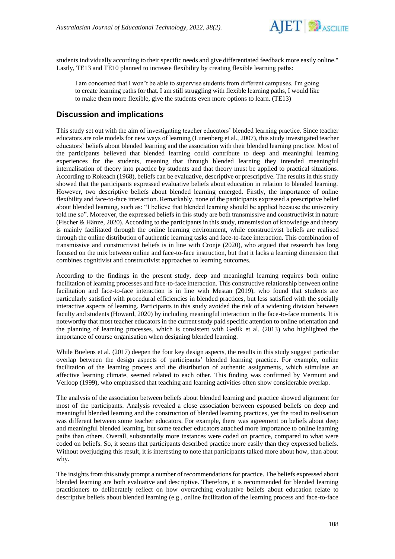

students individually according to their specific needs and give differentiated feedback more easily online." Lastly, TE13 and TE10 planned to increase flexibility by creating flexible learning paths:

I am concerned that I won't be able to supervise students from different campuses. I'm going to create learning paths for that. I am still struggling with flexible learning paths, I would like to make them more flexible, give the students even more options to learn. (TE13)

## **Discussion and implications**

This study set out with the aim of investigating teacher educators' blended learning practice. Since teacher educators are role models for new ways of learning (Lunenberg et al., 2007), this study investigated teacher educators' beliefs about blended learning and the association with their blended learning practice. Most of the participants believed that blended learning could contribute to deep and meaningful learning experiences for the students, meaning that through blended learning they intended meaningful internalisation of theory into practice by students and that theory must be applied to practical situations. According to Rokeach (1968), beliefs can be evaluative, descriptive or prescriptive. The results in this study showed that the participants expressed evaluative beliefs about education in relation to blended learning. However, two descriptive beliefs about blended learning emerged. Firstly, the importance of online flexibility and face-to-face interaction. Remarkably, none of the participants expressed a prescriptive belief about blended learning, such as: "I believe that blended learning should be applied because the university told me so". Moreover, the expressed beliefs in this study are both transmissive and constructivist in nature (Fischer & Hänze, 2020). According to the participants in this study, transmission of knowledge and theory is mainly facilitated through the online learning environment, while constructivist beliefs are realised through the online distribution of authentic learning tasks and face-to-face interaction. This combination of transmissive and constructivist beliefs is in line with Cronje (2020), who argued that research has long focused on the mix between online and face-to-face instruction, but that it lacks a learning dimension that combines cognitivist and constructivist approaches to learning outcomes.

According to the findings in the present study, deep and meaningful learning requires both online facilitation of learning processes and face-to-face interaction. This constructive relationship between online facilitation and face-to-face interaction is in line with Mestan (2019), who found that students are particularly satisfied with procedural efficiencies in blended practices, but less satisfied with the socially interactive aspects of learning. Participants in this study avoided the risk of a widening division between faculty and students (Howard, 2020) by including meaningful interaction in the face-to-face moments. It is noteworthy that most teacher educators in the current study paid specific attention to online orientation and the planning of learning processes, which is consistent with Gedik et al. (2013) who highlighted the importance of course organisation when designing blended learning.

While Boelens et al. (2017) deepen the four key design aspects, the results in this study suggest particular overlap between the design aspects of participants' blended learning practice. For example, online facilitation of the learning process and the distribution of authentic assignments, which stimulate an affective learning climate, seemed related to each other. This finding was confirmed by Vermunt and Verloop (1999), who emphasised that teaching and learning activities often show considerable overlap.

The analysis of the association between beliefs about blended learning and practice showed alignment for most of the participants. Analysis revealed a close association between espoused beliefs on deep and meaningful blended learning and the construction of blended learning practices, yet the road to realisation was different between some teacher educators. For example, there was agreement on beliefs about deep and meaningful blended learning, but some teacher educators attached more importance to online learning paths than others. Overall, substantially more instances were coded on practice, compared to what were coded on beliefs. So, it seems that participants described practice more easily than they expressed beliefs. Without overjudging this result, it is interesting to note that participants talked more about how, than about why.

The insights from this study prompt a number of recommendations for practice. The beliefs expressed about blended learning are both evaluative and descriptive. Therefore, it is recommended for blended learning practitioners to deliberately reflect on how overarching evaluative beliefs about education relate to descriptive beliefs about blended learning (e.g., online facilitation of the learning process and face-to-face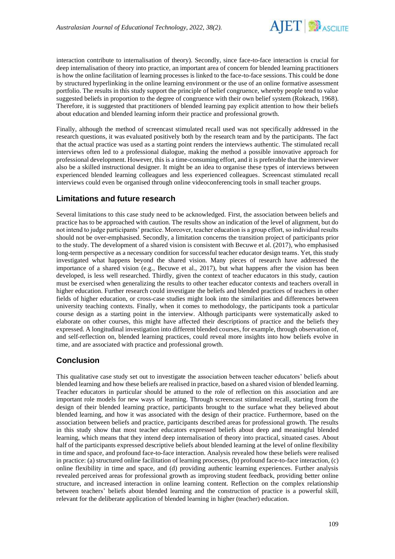

interaction contribute to internalisation of theory). Secondly, since face-to-face interaction is crucial for deep internalisation of theory into practice, an important area of concern for blended learning practitioners is how the online facilitation of learning processes is linked to the face-to-face sessions. This could be done by structured hyperlinking in the online learning environment or the use of an online formative assessment portfolio. The results in this study support the principle of belief congruence, whereby people tend to value suggested beliefs in proportion to the degree of congruence with their own belief system (Rokeach, 1968). Therefore, it is suggested that practitioners of blended learning pay explicit attention to how their beliefs about education and blended learning inform their practice and professional growth.

Finally, although the method of screencast stimulated recall used was not specifically addressed in the research questions, it was evaluated positively both by the research team and by the participants. The fact that the actual practice was used as a starting point renders the interviews authentic. The stimulated recall interviews often led to a professional dialogue, making the method a possible innovative approach for professional development. However, this is a time-consuming effort, and it is preferable that the interviewer also be a skilled instructional designer. It might be an idea to organise these types of interviews between experienced blended learning colleagues and less experienced colleagues. Screencast stimulated recall interviews could even be organised through online videoconferencing tools in small teacher groups.

## **Limitations and future research**

Several limitations to this case study need to be acknowledged. First, the association between beliefs and practice has to be approached with caution. The results show an indication of the level of alignment, but do not intend to judge participants' practice. Moreover, teacher education is a group effort, so individual results should not be over-emphasised. Secondly, a limitation concerns the transition project of participants prior to the study. The development of a shared vision is consistent with Becuwe et al. (2017), who emphasised long-term perspective as a necessary condition for successful teacher educator design teams. Yet, this study investigated what happens beyond the shared vision. Many pieces of research have addressed the importance of a shared vision (e.g., Becuwe et al., 2017), but what happens after the vision has been developed, is less well researched. Thirdly, given the context of teacher educators in this study, caution must be exercised when generalizing the results to other teacher educator contexts and teachers overall in higher education. Further research could investigate the beliefs and blended practices of teachers in other fields of higher education, or cross-case studies might look into the similarities and differences between university teaching contexts. Finally, when it comes to methodology, the participants took a particular course design as a starting point in the interview. Although participants were systematically asked to elaborate on other courses, this might have affected their descriptions of practice and the beliefs they expressed. A longitudinal investigation into different blended courses, for example, through observation of, and self-reflection on, blended learning practices, could reveal more insights into how beliefs evolve in time, and are associated with practice and professional growth.

# **Conclusion**

This qualitative case study set out to investigate the association between teacher educators' beliefs about blended learning and how these beliefs are realised in practice, based on a shared vision of blended learning. Teacher educators in particular should be attuned to the role of reflection on this association and are important role models for new ways of learning. Through screencast stimulated recall, starting from the design of their blended learning practice, participants brought to the surface what they believed about blended learning, and how it was associated with the design of their practice. Furthermore, based on the association between beliefs and practice, participants described areas for professional growth. The results in this study show that most teacher educators expressed beliefs about deep and meaningful blended learning, which means that they intend deep internalisation of theory into practical, situated cases. About half of the participants expressed descriptive beliefs about blended learning at the level of online flexibility in time and space, and profound face-to-face interaction. Analysis revealed how these beliefs were realised in practice: (a) structured online facilitation of learning processes, (b) profound face-to-face interaction, (c) online flexibility in time and space, and (d) providing authentic learning experiences. Further analysis revealed perceived areas for professional growth as improving student feedback, providing better online structure, and increased interaction in online learning content. Reflection on the complex relationship between teachers' beliefs about blended learning and the construction of practice is a powerful skill, relevant for the deliberate application of blended learning in higher (teacher) education.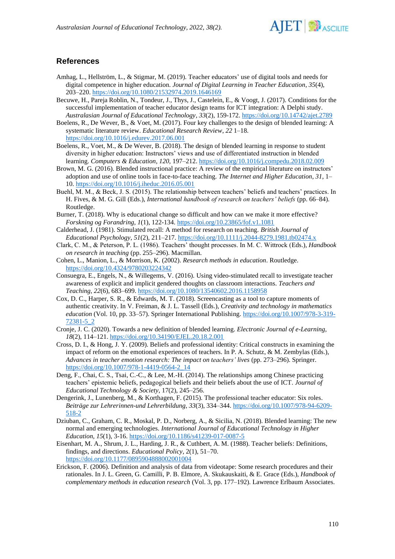

# **References**

- Amhag, L., Hellström, L., & Stigmar, M. (2019). Teacher educators' use of digital tools and needs for digital competence in higher education. *Journal of Digital Learning in Teacher Education*, *35*(4), 203–220.<https://doi.org/10.1080/21532974.2019.1646169>
- Becuwe, H., Pareja Roblin, N., Tondeur, J., Thys, J., Castelein, E., & Voogt, J. (2017). Conditions for the successful implementation of teacher educator design teams for ICT integration: A Delphi study. *Australasian Journal of Educational Technology, 33*(2), 159-172.<https://doi.org/10.14742/ajet.2789>
- Boelens, R., De Wever, B., & Voet, M. (2017). Four key challenges to the design of blended learning: A systematic literature review. *Educational Research Review*, *22* 1–18. <https://doi.org/10.1016/j.edurev.2017.06.001>
- Boelens, R., Voet, M., & De Wever, B. (2018). The design of blended learning in response to student diversity in higher education: Instructors' views and use of differentiated instruction in blended learning. *Computers & Education*, *120*, 197–212.<https://doi.org/10.1016/j.compedu.2018.02.009>
- Brown, M. G. (2016). Blended instructional practice: A review of the empirical literature on instructors' adoption and use of online tools in face-to-face teaching. *The Internet and Higher Education*, *31*, 1– 10.<https://doi.org/10.1016/j.iheduc.2016.05.001>
- Buehl, M. M., & Beck, J. S. (2015). The relationship between teachers' beliefs and teachers' practices. In H. Fives, & M. G. Gill (Eds.), *International handbook of research on teachers' beliefs* (pp. 66–84). Routledge.
- Burner, T. (2018). Why is educational change so difficult and how can we make it more effective? *Forskning og Forandring*, *1*(1), 122-134.<https://doi.org/10.23865/fof.v1.1081>
- Calderhead, J. (1981). Stimulated recall: A method for research on teaching. *British Journal of Educational Psychology*, *51*(2), 211–217.<https://doi.org/10.1111/j.2044-8279.1981.tb02474.x>
- Clark, C. M., & Peterson, P. L. (1986). Teachers' thought processes. In M. C. Wittrock (Eds.), *Handbook on research in teaching* (pp. 255–296). Macmillan.
- Cohen, L., Manion, L., & Morrison, K. (2002). *Research methods in education*. Routledge. <https://doi.org/10.4324/9780203224342>
- Consuegra, E., Engels, N., & Willegems, V. (2016). Using video-stimulated recall to investigate teacher awareness of explicit and implicit gendered thoughts on classroom interactions. *Teachers and Teaching*, *22*(6), 683–699.<https://doi.org/10.1080/13540602.2016.1158958>
- Cox, D. C., Harper, S. R., & Edwards, M. T. (2018). Screencasting as a tool to capture moments of authentic creativity. In V. Freiman, & J. L. Tassell (Eds.), *Creativity and technology in mathematics education* (Vol. 10, pp. 33–57). Springer International Publishing. [https://doi.org/10.1007/978-3-319-](https://doi.org/10.1007/978-3-319-72381-5_2) [72381-5\\_2](https://doi.org/10.1007/978-3-319-72381-5_2)
- Cronje, J. C. (2020). Towards a new definition of blended learning. *Electronic Journal of e-Learning*, *18*(2), 114–121.<https://doi.org/10.34190/EJEL.20.18.2.001>
- Cross, D. I., & Hong, J. Y. (2009). Beliefs and professional identity: Critical constructs in examining the impact of reform on the emotional experiences of teachers. In P. A. Schutz, & M. Zembylas (Eds.), *Advances in teacher emotion research: The impact on teachers' lives* (pp. 273–296). Springer. [https://doi.org/10.1007/978-1-4419-0564-2\\_14](https://doi.org/10.1007/978-1-4419-0564-2_14)
- Deng, F., Chai, C. S., Tsai, C.-C., & Lee, M.-H. (2014). The relationships among Chinese practicing teachers' epistemic beliefs, pedagogical beliefs and their beliefs about the use of ICT. *Journal of Educational Technology & Society*, 17(2), 245–256.
- Dengerink, J., Lunenberg, M., & Korthagen, F. (2015). The professional teacher educator: Six roles. *Beiträge zur Lehrerinnen-und Lehrerbildung*, *33*(3), 334–344. [https://doi.org/10.1007/978-94-6209-](https://doi.org/10.1007/978-94-6209-518-2) [518-2](https://doi.org/10.1007/978-94-6209-518-2)
- Dziuban, C., Graham, C. R., Moskal, P. D., Norberg, A., & Sicilia, N. (2018). Blended learning: The new normal and emerging technologies. *International Journal of Educational Technology in Higher Education*, *15*(1), 3-16.<https://doi.org/10.1186/s41239-017-0087-5>
- Eisenhart, M. A., Shrum, J. L., Harding, J. R., & Cuthbert, A. M. (1988). Teacher beliefs: Definitions, findings, and directions. *Educational Policy*, 2(1), 51–70. <https://doi.org/10.1177/0895904888002001004>
- Erickson, F. (2006). Definition and analysis of data from videotape: Some research procedures and their rationales. In J. L. Green, G. Camilli, P. B. Elmore, A. Skukauskaiti, & E. Grace (Eds.), *Handbook of complementary methods in education research* (Vol. 3, pp. 177–192). Lawrence Erlbaum Associates.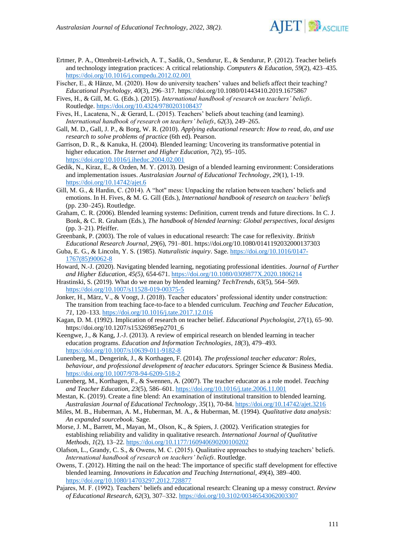

- Ertmer, P. A., Ottenbreit-Leftwich, A. T., Sadik, O., Sendurur, E., & Sendurur, P. (2012). Teacher beliefs and technology integration practices: A critical relationship. *Computers & Education*, *59*(2), 423–435. <https://doi.org/10.1016/j.compedu.2012.02.001>
- Fischer, E., & Hänze, M. (2020). How do university teachers' values and beliefs affect their teaching? *Educational Psychology, 40*(3), 296–317.<https://doi.org/10.1080/01443410.2019.1675867>
- Fives, H., & Gill, M. G. (Eds.). (2015). *International handbook of research on teachers' beliefs*. Routledge. <https://doi.org/10.4324/9780203108437>
- Fives, H., Lacatena, N., & Gerard, L. (2015). Teachers' beliefs about teaching (and learning). *International handbook of research on teachers' beliefs*, *62*(3), 249–265.
- Gall, M. D., Gall, J. P., & Borg, W. R. (2010). *Applying educational research: How to read, do, and use research to solve problems of practice* (6th ed). Pearson.
- Garrison, D. R., & Kanuka, H. (2004). Blended learning: Uncovering its transformative potential in higher education. *The Internet and Higher Education*, *7*(2), 95–105. <https://doi.org/10.1016/j.iheduc.2004.02.001>
- Gedik, N., Kiraz, E., & Ozden, M. Y. (2013). Design of a blended learning environment: Considerations and implementation issues. *Australasian Journal of Educational Technology*, *29*(1), 1-19. <https://doi.org/10.14742/ajet.6>
- Gill, M. G., & Hardin, C. (2014). A "hot" mess: Unpacking the relation between teachers' beliefs and emotions. In H. Fives, & M. G. Gill (Eds.), *International handbook of research on teachers' beliefs* (pp. 230–245). Routledge.
- Graham, C. R. (2006). Blended learning systems: Definition, current trends and future directions. In C. J. Bonk, & C. R. Graham (Eds.), *The handbook of blended learning: Global perspectives, local designs* (pp. 3–21). Pfeiffer.
- Greenbank, P. (2003). The role of values in educational research: The case for reflexivity. *British Educational Research Journal, 29*(6), 791–801.<https://doi.org/10.1080/0141192032000137303>
- Guba, E. G., & Lincoln, Y. S. (1985). *Naturalistic inquiry*. Sage. [https://doi.org/10.1016/0147-](https://doi.org/10.1016/0147-1767(85)90062-8) [1767\(85\)90062-8](https://doi.org/10.1016/0147-1767(85)90062-8)
- Howard, N.-J. (2020). Navigating blended learning, negotiating professional identities. *Journal of Further and Higher Education*, *45(5)*, 654-671[. https://doi.org/10.1080/0309877X.2020.1806214](https://doi.org/10.1080/0309877X.2020.1806214)
- Hrastinski, S. (2019). What do we mean by blended learning? *TechTrends*, *63*(5), 564–569. <https://doi.org/10.1007/s11528-019-00375-5>
- Jonker, H., März, V., & Voogt, J. (2018). Teacher educators' professional identity under construction: The transition from teaching face-to-face to a blended curriculum. *Teaching and Teacher Education*, *71*, 120–133.<https://doi.org/10.1016/j.tate.2017.12.016>
- Kagan, D. M. (1992). Implication of research on teacher belief. *Educational Psychologist, 27*(1), 65–90. [https://doi.org/10.1207/s15326985ep2701\\_6](https://doi.org/10.1207/s15326985ep2701_6)
- Keengwe, J., & Kang, J.-J. (2013). A review of empirical research on blended learning in teacher education programs. *Education and Information Technologies, 18*(3), 479–493. <https://doi.org/10.1007/s10639-011-9182-8>
- Lunenberg, M., Dengerink, J., & Korthagen, F. (2014). *The professional teacher educator: Roles, behaviour, and professional development of teacher educators.* Springer Science & Business Media. <https://doi.org/10.1007/978-94-6209-518-2>
- Lunenberg, M., Korthagen, F., & Swennen, A. (2007). The teacher educator as a role model. *Teaching and Teacher Education*, *23*(5), 586–601.<https://doi.org/10.1016/j.tate.2006.11.001>
- Mestan, K. (2019). Create a fine blend: An examination of institutional transition to blended learning. *Australasian Journal of Educational Technology*, *35*(1), 70-84.<https://doi.org/10.14742/ajet.3216>
- Miles, M. B., Huberman, A. M., Huberman, M. A., & Huberman, M. (1994). *Qualitative data analysis: An expanded sourcebook*. Sage.
- Morse, J. M., Barrett, M., Mayan, M., Olson, K., & Spiers, J. (2002). Verification strategies for establishing reliability and validity in qualitative research. *International Journal of Qualitative Methods*, *1*(2), 13–22.<https://doi.org/10.1177/160940690200100202>
- Olafson, L., Grandy, C. S., & Owens, M. C. (2015). Qualitative approaches to studying teachers' beliefs. *International handbook of research on teachers' beliefs*. Routledge.
- Owens, T. (2012). Hitting the nail on the head: The importance of specific staff development for effective blended learning. *Innovations in Education and Teaching International*, *49*(4), 389–400. <https://doi.org/10.1080/14703297.2012.728877>
- Pajares, M. F. (1992). Teachers' beliefs and educational research: Cleaning up a messy construct. *Review of Educational Research*, *62*(3), 307–332.<https://doi.org/10.3102/00346543062003307>